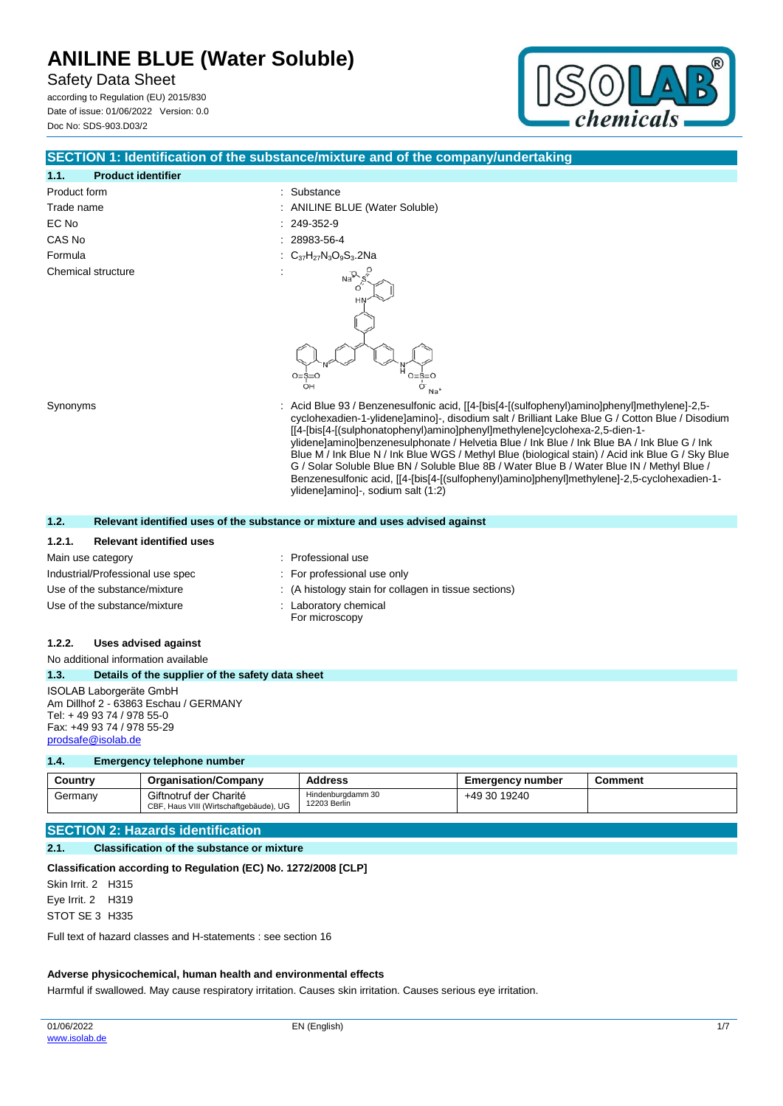Safety Data Sheet

according to Regulation (EU) 2015/830 Date of issue: 01/06/2022 Version: 0.0 Doc No: SDS-903.D03/2



| SECTION 1: Identification of the substance/mixture and of the company/undertaking                                                                                                                                                                                                                                                                                                                                                                                                                                                                                                                                                                                                                                             |                                                                                                                                                   |                                                                               |                         |                |  |
|-------------------------------------------------------------------------------------------------------------------------------------------------------------------------------------------------------------------------------------------------------------------------------------------------------------------------------------------------------------------------------------------------------------------------------------------------------------------------------------------------------------------------------------------------------------------------------------------------------------------------------------------------------------------------------------------------------------------------------|---------------------------------------------------------------------------------------------------------------------------------------------------|-------------------------------------------------------------------------------|-------------------------|----------------|--|
| 1.1.<br><b>Product identifier</b>                                                                                                                                                                                                                                                                                                                                                                                                                                                                                                                                                                                                                                                                                             |                                                                                                                                                   |                                                                               |                         |                |  |
| Product form<br>Substance                                                                                                                                                                                                                                                                                                                                                                                                                                                                                                                                                                                                                                                                                                     |                                                                                                                                                   |                                                                               |                         |                |  |
| Trade name                                                                                                                                                                                                                                                                                                                                                                                                                                                                                                                                                                                                                                                                                                                    |                                                                                                                                                   | <b>ANILINE BLUE (Water Soluble)</b>                                           |                         |                |  |
| EC No                                                                                                                                                                                                                                                                                                                                                                                                                                                                                                                                                                                                                                                                                                                         |                                                                                                                                                   | 249-352-9                                                                     |                         |                |  |
| CAS No                                                                                                                                                                                                                                                                                                                                                                                                                                                                                                                                                                                                                                                                                                                        |                                                                                                                                                   | 28983-56-4                                                                    |                         |                |  |
| Formula                                                                                                                                                                                                                                                                                                                                                                                                                                                                                                                                                                                                                                                                                                                       |                                                                                                                                                   | $C_{37}H_{27}N_3O_9S_3.2Na$                                                   |                         |                |  |
| Chemical structure                                                                                                                                                                                                                                                                                                                                                                                                                                                                                                                                                                                                                                                                                                            |                                                                                                                                                   |                                                                               |                         |                |  |
|                                                                                                                                                                                                                                                                                                                                                                                                                                                                                                                                                                                                                                                                                                                               |                                                                                                                                                   | $O = S = 0$<br>OH<br>O<br>Na <sup>®</sup>                                     |                         |                |  |
| Acid Blue 93 / Benzenesulfonic acid, [[4-[bis[4-[(sulfophenyl)amino]phenyl]methylene]-2,5-<br>Synonyms<br>cyclohexadien-1-ylidene]amino]-, disodium salt / Brilliant Lake Blue G / Cotton Blue / Disodium<br>[[4-[bis[4-[(sulphonatophenyl)amino]phenyl]methylene]cyclohexa-2,5-dien-1-<br>ylidene]amino]benzenesulphonate / Helvetia Blue / Ink Blue / Ink Blue BA / Ink Blue G / Ink<br>Blue M / Ink Blue N / Ink Blue WGS / Methyl Blue (biological stain) / Acid ink Blue G / Sky Blue<br>G / Solar Soluble Blue BN / Soluble Blue 8B / Water Blue B / Water Blue IN / Methyl Blue /<br>Benzenesulfonic acid, [[4-[bis[4-[(sulfophenyl)amino]phenyl]methylene]-2,5-cyclohexadien-1-<br>ylidene]amino]-, sodium salt (1:2) |                                                                                                                                                   |                                                                               |                         |                |  |
| 1.2.                                                                                                                                                                                                                                                                                                                                                                                                                                                                                                                                                                                                                                                                                                                          |                                                                                                                                                   | Relevant identified uses of the substance or mixture and uses advised against |                         |                |  |
| 1.2.1.                                                                                                                                                                                                                                                                                                                                                                                                                                                                                                                                                                                                                                                                                                                        | <b>Relevant identified uses</b>                                                                                                                   |                                                                               |                         |                |  |
| Main use category                                                                                                                                                                                                                                                                                                                                                                                                                                                                                                                                                                                                                                                                                                             |                                                                                                                                                   | Professional use                                                              |                         |                |  |
| Industrial/Professional use spec                                                                                                                                                                                                                                                                                                                                                                                                                                                                                                                                                                                                                                                                                              |                                                                                                                                                   | For professional use only                                                     |                         |                |  |
| Use of the substance/mixture                                                                                                                                                                                                                                                                                                                                                                                                                                                                                                                                                                                                                                                                                                  |                                                                                                                                                   | (A histology stain for collagen in tissue sections)                           |                         |                |  |
| Use of the substance/mixture                                                                                                                                                                                                                                                                                                                                                                                                                                                                                                                                                                                                                                                                                                  |                                                                                                                                                   | : Laboratory chemical<br>For microscopy                                       |                         |                |  |
| 1.2.2.                                                                                                                                                                                                                                                                                                                                                                                                                                                                                                                                                                                                                                                                                                                        | <b>Uses advised against</b>                                                                                                                       |                                                                               |                         |                |  |
| No additional information available                                                                                                                                                                                                                                                                                                                                                                                                                                                                                                                                                                                                                                                                                           |                                                                                                                                                   |                                                                               |                         |                |  |
| 1.3.                                                                                                                                                                                                                                                                                                                                                                                                                                                                                                                                                                                                                                                                                                                          | Details of the supplier of the safety data sheet                                                                                                  |                                                                               |                         |                |  |
|                                                                                                                                                                                                                                                                                                                                                                                                                                                                                                                                                                                                                                                                                                                               | ISOLAB Laborgeräte GmbH<br>Am Dillhof 2 - 63863 Eschau / GERMANY<br>Tel: +49 93 74 / 978 55-0<br>Fax: +49 93 74 / 978 55-29<br>prodsafe@isolab.de |                                                                               |                         |                |  |
| 1.4.                                                                                                                                                                                                                                                                                                                                                                                                                                                                                                                                                                                                                                                                                                                          | <b>Emergency telephone number</b>                                                                                                                 |                                                                               |                         |                |  |
| Country                                                                                                                                                                                                                                                                                                                                                                                                                                                                                                                                                                                                                                                                                                                       | <b>Organisation/Company</b>                                                                                                                       | <b>Address</b>                                                                | <b>Emergency number</b> | <b>Comment</b> |  |
| Germany                                                                                                                                                                                                                                                                                                                                                                                                                                                                                                                                                                                                                                                                                                                       | Giftnotruf der Charité<br>CBF, Haus VIII (Wirtschaftgebäude), UG                                                                                  | Hindenburgdamm 30<br>12203 Berlin                                             | +49 30 19240            |                |  |
|                                                                                                                                                                                                                                                                                                                                                                                                                                                                                                                                                                                                                                                                                                                               | <b>SECTION 2: Hazards identification</b>                                                                                                          |                                                                               |                         |                |  |
| 2.1.                                                                                                                                                                                                                                                                                                                                                                                                                                                                                                                                                                                                                                                                                                                          | <b>Classification of the substance or mixture</b>                                                                                                 |                                                                               |                         |                |  |

# **Classification according to Regulation (EC) No. 1272/2008 [CLP]**

Skin Irrit. 2 H315 Eye Irrit. 2 H319 STOT SE 3 H335

Full text of hazard classes and H-statements : see section 16

### **Adverse physicochemical, human health and environmental effects**

Harmful if swallowed. May cause respiratory irritation. Causes skin irritation. Causes serious eye irritation.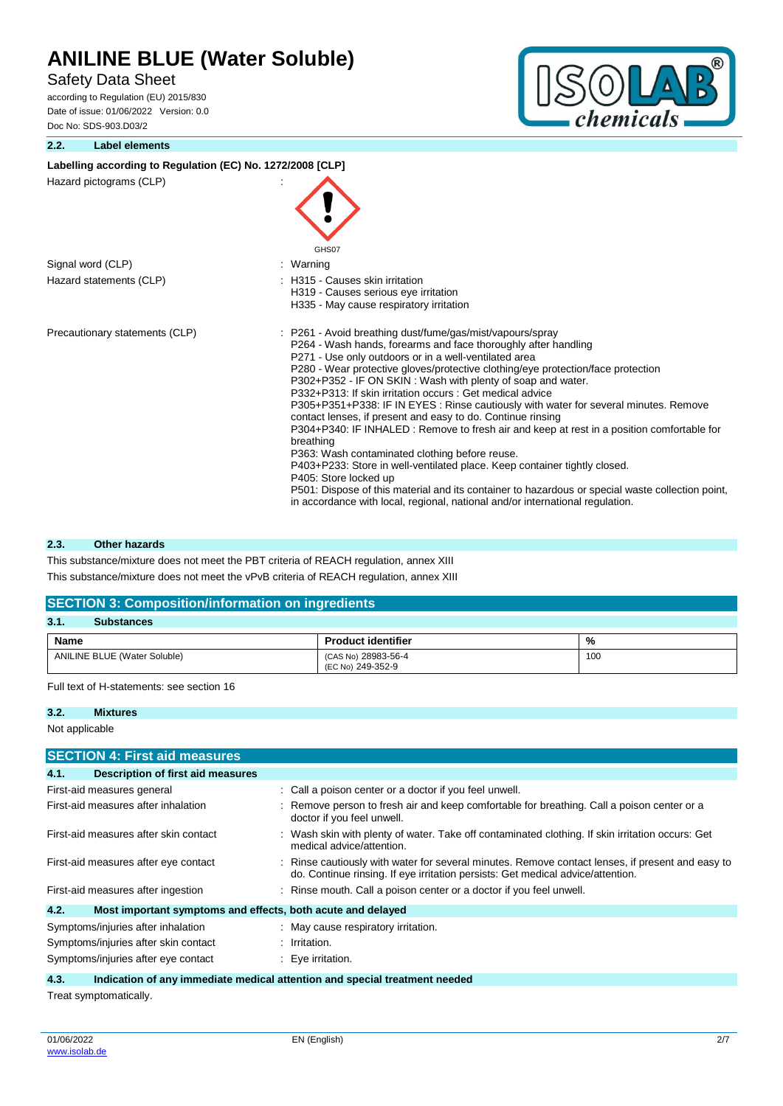# Safety Data Sheet

according to Regulation (EU) 2015/830 Date of issue: 01/06/2022 Version: 0.0 Doc No: SDS-903.D03/2

### **2.2. Label elements**



# Labelling according to Regulation (EC) No. 1272/2008 [CLP] Hazard pictograms (CLP) : GHS07 Signal word (CLP) : Warning Hazard statements (CLP)  $\qquad \qquad$ : H315 - Causes skin irritation H319 - Causes serious eye irritation H335 - May cause respiratory irritation Precautionary statements (CLP) : P261 - Avoid breathing dust/fume/gas/mist/vapours/spray P264 - Wash hands, forearms and face thoroughly after handling P271 - Use only outdoors or in a well-ventilated area P280 - Wear protective gloves/protective clothing/eye protection/face protection P302+P352 - IF ON SKIN : Wash with plenty of soap and water. P332+P313: If skin irritation occurs : Get medical advice P305+P351+P338: IF IN EYES : Rinse cautiously with water for several minutes. Remove contact lenses, if present and easy to do. Continue rinsing P304+P340: IF INHALED : Remove to fresh air and keep at rest in a position comfortable for breathing P363: Wash contaminated clothing before reuse. P403+P233: Store in well-ventilated place. Keep container tightly closed. P405: Store locked up P501: Dispose of this material and its container to hazardous or special waste collection point, in accordance with local, regional, national and/or international regulation.

#### **2.3. Other hazards**

This substance/mixture does not meet the PBT criteria of REACH regulation, annex XIII This substance/mixture does not meet the vPvB criteria of REACH regulation, annex XIII

#### **SECTION 3: Composition/information on ingredients**

| 3.1 <sub>1</sub><br><b>Substances</b> |                                          |     |  |  |  |
|---------------------------------------|------------------------------------------|-----|--|--|--|
| Name                                  | <b>Product identifier</b>                | %   |  |  |  |
| <b>ANILINE BLUE (Water Soluble)</b>   | (CAS No) 28983-56-4<br>(EC No) 249-352-9 | 100 |  |  |  |

Full text of H-statements: see section 16

### **3.2. Mixtures**

Not applicable

| <b>SECTION 4: First aid measures</b>                                |   |                                                                                                                                                                                   |  |
|---------------------------------------------------------------------|---|-----------------------------------------------------------------------------------------------------------------------------------------------------------------------------------|--|
| 4.1.<br>Description of first aid measures                           |   |                                                                                                                                                                                   |  |
| First-aid measures general                                          |   | : Call a poison center or a doctor if you feel unwell.                                                                                                                            |  |
| First-aid measures after inhalation                                 |   | Remove person to fresh air and keep comfortable for breathing. Call a poison center or a<br>doctor if you feel unwell.                                                            |  |
| First-aid measures after skin contact                               | ÷ | Wash skin with plenty of water. Take off contaminated clothing. If skin irritation occurs: Get<br>medical advice/attention.                                                       |  |
| First-aid measures after eye contact                                |   | Rinse cautiously with water for several minutes. Remove contact lenses, if present and easy to<br>do. Continue rinsing. If eye irritation persists: Get medical advice/attention. |  |
| First-aid measures after ingestion                                  |   | : Rinse mouth. Call a poison center or a doctor if you feel unwell.                                                                                                               |  |
| 4.2.<br>Most important symptoms and effects, both acute and delayed |   |                                                                                                                                                                                   |  |
| Symptoms/injuries after inhalation                                  |   | : May cause respiratory irritation.                                                                                                                                               |  |
| Symptoms/injuries after skin contact                                |   | : Irritation.                                                                                                                                                                     |  |
| Symptoms/injuries after eye contact                                 |   | Eye irritation.                                                                                                                                                                   |  |

**4.3. Indication of any immediate medical attention and special treatment needed**

Treat symptomatically.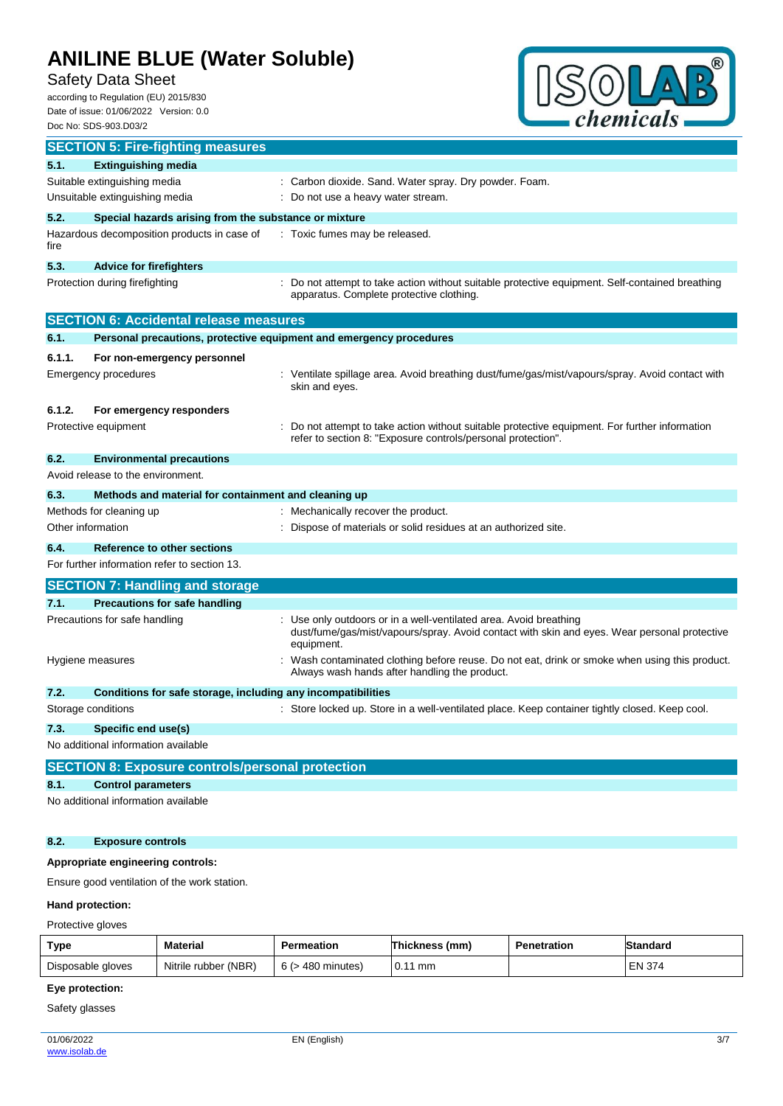# Safety Data Sheet

according to Regulation (EU) 2015/830 Date of issue: 01/06/2022 Version: 0.0 Doc No: SDS-903.D03/2



|                                | <b>SECTION 5: Fire-fighting measures</b>                            |                                                                                                                                                                               |  |  |
|--------------------------------|---------------------------------------------------------------------|-------------------------------------------------------------------------------------------------------------------------------------------------------------------------------|--|--|
| 5.1.                           | <b>Extinguishing media</b>                                          |                                                                                                                                                                               |  |  |
|                                | Suitable extinguishing media                                        | : Carbon dioxide. Sand. Water spray. Dry powder. Foam.                                                                                                                        |  |  |
| Unsuitable extinguishing media |                                                                     | Do not use a heavy water stream.                                                                                                                                              |  |  |
| 5.2.                           | Special hazards arising from the substance or mixture               |                                                                                                                                                                               |  |  |
| fire                           | Hazardous decomposition products in case of                         | : Toxic fumes may be released.                                                                                                                                                |  |  |
| 5.3.                           | <b>Advice for firefighters</b>                                      |                                                                                                                                                                               |  |  |
|                                | Protection during firefighting                                      | Do not attempt to take action without suitable protective equipment. Self-contained breathing<br>apparatus. Complete protective clothing.                                     |  |  |
|                                | <b>SECTION 6: Accidental release measures</b>                       |                                                                                                                                                                               |  |  |
| 6.1.                           | Personal precautions, protective equipment and emergency procedures |                                                                                                                                                                               |  |  |
| 6.1.1.                         | For non-emergency personnel                                         |                                                                                                                                                                               |  |  |
|                                | Emergency procedures                                                | : Ventilate spillage area. Avoid breathing dust/fume/gas/mist/vapours/spray. Avoid contact with<br>skin and eyes.                                                             |  |  |
| 6.1.2.                         | For emergency responders                                            |                                                                                                                                                                               |  |  |
|                                | Protective equipment                                                | Do not attempt to take action without suitable protective equipment. For further information<br>refer to section 8: "Exposure controls/personal protection".                  |  |  |
| 6.2.                           | <b>Environmental precautions</b>                                    |                                                                                                                                                                               |  |  |
|                                | Avoid release to the environment.                                   |                                                                                                                                                                               |  |  |
| 6.3.                           | Methods and material for containment and cleaning up                |                                                                                                                                                                               |  |  |
|                                | Methods for cleaning up                                             | Mechanically recover the product.                                                                                                                                             |  |  |
| Other information              |                                                                     | Dispose of materials or solid residues at an authorized site.                                                                                                                 |  |  |
| 6.4.                           | <b>Reference to other sections</b>                                  |                                                                                                                                                                               |  |  |
|                                | For further information refer to section 13.                        |                                                                                                                                                                               |  |  |
|                                | <b>SECTION 7: Handling and storage</b>                              |                                                                                                                                                                               |  |  |
| 7.1.                           | <b>Precautions for safe handling</b>                                |                                                                                                                                                                               |  |  |
|                                | Precautions for safe handling                                       | Use only outdoors or in a well-ventilated area. Avoid breathing<br>dust/fume/gas/mist/vapours/spray. Avoid contact with skin and eyes. Wear personal protective<br>equipment. |  |  |
|                                | Hygiene measures                                                    | : Wash contaminated clothing before reuse. Do not eat, drink or smoke when using this product.<br>Always wash hands after handling the product.                               |  |  |
| 7.2.                           | Conditions for safe storage, including any incompatibilities        |                                                                                                                                                                               |  |  |
|                                | Storage conditions                                                  | : Store locked up. Store in a well-ventilated place. Keep container tightly closed. Keep cool.                                                                                |  |  |
| 7.3.                           | <b>Specific end use(s)</b>                                          |                                                                                                                                                                               |  |  |
|                                | No additional information available                                 |                                                                                                                                                                               |  |  |
|                                | <b>SECTION 8: Exposure controls/personal protection</b>             |                                                                                                                                                                               |  |  |
| 8.1.                           | <b>Control parameters</b>                                           |                                                                                                                                                                               |  |  |
|                                | No additional information available                                 |                                                                                                                                                                               |  |  |
| 8.2.                           | <b>Exposure controls</b>                                            |                                                                                                                                                                               |  |  |
|                                | Appropriate engineering controls:                                   |                                                                                                                                                                               |  |  |
|                                | Ensure good ventilation of the work station.                        |                                                                                                                                                                               |  |  |

## **Hand protection:**

Protective gloves

| Type              | Material             | Permeation             | Thickness (mm) | <b>Penetration</b> | Standard      |
|-------------------|----------------------|------------------------|----------------|--------------------|---------------|
| Disposable gloves | Nitrile rubber (NBR) | $6$ ( $>$ 480 minutes) | $0.11$ mm      |                    | <b>EN 374</b> |

# **Eye protection:**

Safety glasses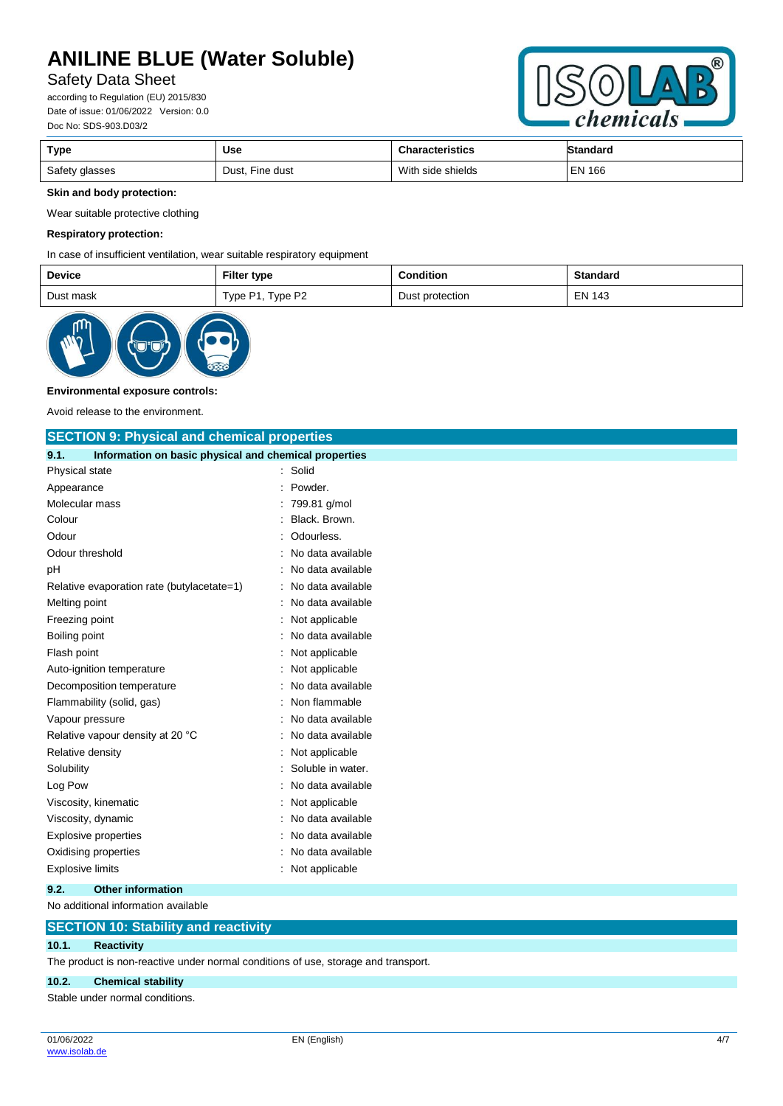# Safety Data Sheet

according to Regulation (EU) 2015/830 Date of issue: 01/06/2022 Version: 0.0 Doc No: SDS-903.D03/2



| Type           | <b>Use</b>      | <b>Characteristics</b> | <b>Standard</b> |
|----------------|-----------------|------------------------|-----------------|
| Safety glasses | Dust, Fine dust | With side shields      | <b>EN 166</b>   |

## **Skin and body protection:**

Wear suitable protective clothing

#### **Respiratory protection:**

In case of insufficient ventilation, wear suitable respiratory equipment

| <b>Device</b> | <b>Filter type</b> | <b>Condition</b> | <b>Standard</b> |
|---------------|--------------------|------------------|-----------------|
| Dust mask     | Type P1, Type P2   | Dust protection  | <b>EN 143</b>   |



#### **Environmental exposure controls:**

Avoid release to the environment.

| <b>SECTION 9: Physical and chemical properties</b>            |                   |  |  |  |
|---------------------------------------------------------------|-------------------|--|--|--|
| Information on basic physical and chemical properties<br>9.1. |                   |  |  |  |
| Physical state                                                | Solid             |  |  |  |
| Appearance                                                    | Powder.           |  |  |  |
| Molecular mass                                                | 799.81 g/mol      |  |  |  |
| Colour                                                        | Black, Brown.     |  |  |  |
| Odour                                                         | Odourless.        |  |  |  |
| Odour threshold                                               | No data available |  |  |  |
| рH                                                            | No data available |  |  |  |
| Relative evaporation rate (butylacetate=1)                    | No data available |  |  |  |
| Melting point                                                 | No data available |  |  |  |
| Freezing point                                                | Not applicable    |  |  |  |
| Boiling point                                                 | No data available |  |  |  |
| Flash point                                                   | Not applicable    |  |  |  |
| Auto-ignition temperature                                     | Not applicable    |  |  |  |
| Decomposition temperature                                     | No data available |  |  |  |
| Flammability (solid, gas)                                     | Non flammable     |  |  |  |
| Vapour pressure                                               | No data available |  |  |  |
| Relative vapour density at 20 °C                              | No data available |  |  |  |
| Relative density                                              | Not applicable    |  |  |  |
| Solubility                                                    | Soluble in water. |  |  |  |
| Log Pow                                                       | No data available |  |  |  |
| Viscosity, kinematic                                          | Not applicable    |  |  |  |
| Viscosity, dynamic                                            | No data available |  |  |  |
| <b>Explosive properties</b>                                   | No data available |  |  |  |
| Oxidising properties                                          | No data available |  |  |  |
| <b>Explosive limits</b>                                       | Not applicable    |  |  |  |
| 9.2.<br><b>Other information</b>                              |                   |  |  |  |

No additional information available

### **SECTION 10: Stability and reactivity**

#### **10.1. Reactivity**

The product is non-reactive under normal conditions of use, storage and transport.

#### **10.2. Chemical stability**

Stable under normal conditions.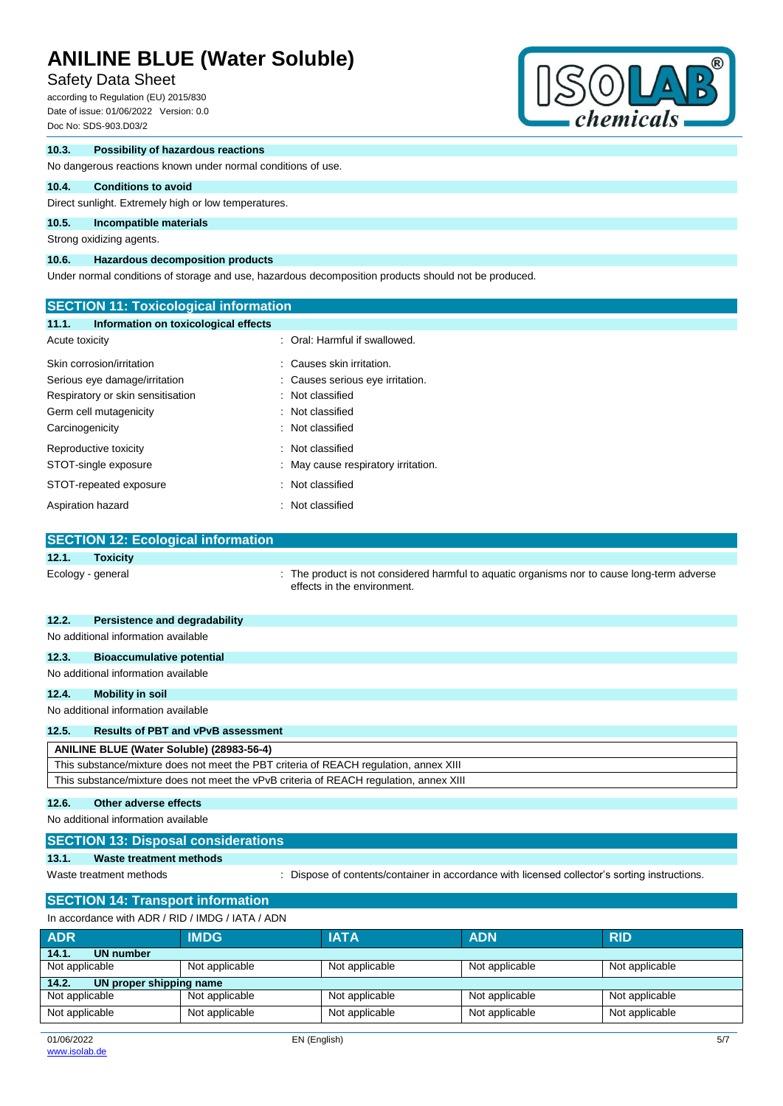# Safety Data Sheet

according to Regulation (EU) 2015/830 Date of issue: 01/06/2022 Version: 0.0 Doc No: SDS-903.D03/2



### **10.3. Possibility of hazardous reactions**

No dangerous reactions known under normal conditions of use.

# **10.4. Conditions to avoid**

Direct sunlight. Extremely high or low temperatures.

# **10.5. Incompatible materials**

Strong oxidizing agents.

### **10.6. Hazardous decomposition products**

Under normal conditions of storage and use, hazardous decomposition products should not be produced.

| <b>SECTION 11: Toxicological information</b>  |                                                                                                                            |
|-----------------------------------------------|----------------------------------------------------------------------------------------------------------------------------|
| 11.1.<br>Information on toxicological effects |                                                                                                                            |
| Acute toxicity                                | : Oral: Harmful if swallowed.                                                                                              |
| Skin corrosion/irritation                     | : Causes skin irritation.                                                                                                  |
| Serious eye damage/irritation                 | : Causes serious eye irritation.                                                                                           |
| Respiratory or skin sensitisation             | : Not classified                                                                                                           |
| Germ cell mutagenicity                        | : Not classified                                                                                                           |
| Carcinogenicity                               | : Not classified                                                                                                           |
| Reproductive toxicity                         | : Not classified                                                                                                           |
| STOT-single exposure                          | May cause respiratory irritation.                                                                                          |
| STOT-repeated exposure                        | : Not classified                                                                                                           |
| Aspiration hazard                             | : Not classified                                                                                                           |
|                                               |                                                                                                                            |
| <b>SECTION 12: Ecological information</b>     |                                                                                                                            |
| 12.1.<br><b>Toxicity</b>                      |                                                                                                                            |
| Ecology - general                             | : The product is not considered harmful to aquatic organisms nor to cause long-term adverse<br>effects in the environment. |

| 12.2. | Persistence and degradability                                                          |
|-------|----------------------------------------------------------------------------------------|
|       | No additional information available                                                    |
| 12.3. | <b>Bioaccumulative potential</b>                                                       |
|       | No additional information available                                                    |
| 12.4. | Mobility in soil                                                                       |
|       | No additional information available                                                    |
| 12.5. | <b>Results of PBT and vPvB assessment</b>                                              |
|       | ANILINE BLUE (Water Soluble) (28983-56-4)                                              |
|       | This substance/mixture does not meet the PBT criteria of REACH regulation, annex XIII  |
|       | This substance/mixture does not meet the vPvB criteria of REACH regulation, annex XIII |
|       |                                                                                        |

#### **12.6. Other adverse effects**

No additional information available

|  | <b>SECTION 13: Disposal considerations</b> |
|--|--------------------------------------------|
|  |                                            |

#### **13.1. Waste treatment methods**

Waste treatment methods : Dispose of contents/container in accordance with licensed collector's sorting instructions.

# **SECTION 14: Transport information**

| In accordance with ADR / RID / IMDG / IATA / ADN |                                                                      |                |                |                |  |  |
|--------------------------------------------------|----------------------------------------------------------------------|----------------|----------------|----------------|--|--|
| <b>ADR</b>                                       | <b>IMDG</b>                                                          | <b>IATA</b>    | <b>ADN</b>     | <b>RID</b>     |  |  |
| 14.1.<br>UN number                               |                                                                      |                |                |                |  |  |
| Not applicable                                   | Not applicable<br>Not applicable<br>Not applicable<br>Not applicable |                |                |                |  |  |
| UN proper shipping name<br>14.2.                 |                                                                      |                |                |                |  |  |
| Not applicable                                   | Not applicable                                                       | Not applicable | Not applicable | Not applicable |  |  |
| Not applicable                                   | Not applicable                                                       | Not applicable | Not applicable | Not applicable |  |  |
|                                                  |                                                                      |                |                |                |  |  |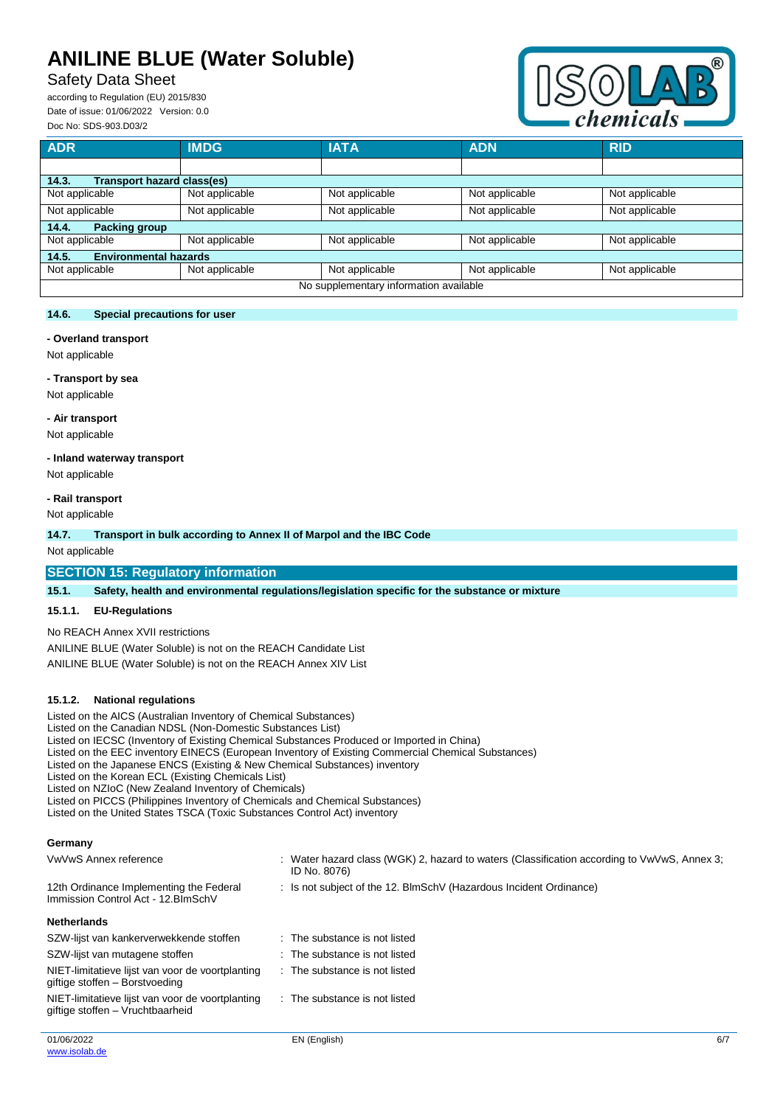# Safety Data Sheet

according to Regulation (EU) 2015/830 Date of issue: 01/06/2022 Version: 0.0 Doc No: SDS-903.D03/2



| <b>ADR</b>                                 | <b>IMDG</b>    | <b>IATA</b>    | <b>ADN</b>     | <b>RID</b>     |  |  |
|--------------------------------------------|----------------|----------------|----------------|----------------|--|--|
|                                            |                |                |                |                |  |  |
| <b>Transport hazard class(es)</b><br>14.3. |                |                |                |                |  |  |
| Not applicable                             | Not applicable | Not applicable | Not applicable | Not applicable |  |  |
| Not applicable                             | Not applicable | Not applicable | Not applicable | Not applicable |  |  |
| <b>Packing group</b><br>14.4.              |                |                |                |                |  |  |
| Not applicable                             | Not applicable | Not applicable | Not applicable | Not applicable |  |  |
| <b>Environmental hazards</b><br>14.5.      |                |                |                |                |  |  |
| Not applicable                             | Not applicable | Not applicable | Not applicable | Not applicable |  |  |
| No supplementary information available     |                |                |                |                |  |  |

#### **14.6. Special precautions for user**

#### **- Overland transport**

Not applicable

#### **- Transport by sea**

Not applicable

#### **- Air transport**

Not applicable

### **- Inland waterway transport**

Not applicable

#### **- Rail transport**

Not applicable

#### **14.7. Transport in bulk according to Annex II of Marpol and the IBC Code**

Not applicable

#### **SECTION 15: Regulatory information**

**15.1. Safety, health and environmental regulations/legislation specific for the substance or mixture**

### **15.1.1. EU-Regulations**

No REACH Annex XVII restrictions

ANILINE BLUE (Water Soluble) is not on the REACH Candidate List ANILINE BLUE (Water Soluble) is not on the REACH Annex XIV List

#### **15.1.2. National regulations**

Listed on the AICS (Australian Inventory of Chemical Substances)

Listed on the Canadian NDSL (Non-Domestic Substances List)

- Listed on IECSC (Inventory of Existing Chemical Substances Produced or Imported in China)
- Listed on the EEC inventory EINECS (European Inventory of Existing Commercial Chemical Substances)
- Listed on the Japanese ENCS (Existing & New Chemical Substances) inventory

Listed on the Korean ECL (Existing Chemicals List)

Listed on NZIoC (New Zealand Inventory of Chemicals)

Listed on PICCS (Philippines Inventory of Chemicals and Chemical Substances)

Listed on the United States TSCA (Toxic Substances Control Act) inventory

#### **Germany**

| VwVwS Annex reference                                                                |  | : Water hazard class (WGK) 2, hazard to waters (Classification according to VwVwS, Annex 3;<br>ID No. 8076) |
|--------------------------------------------------------------------------------------|--|-------------------------------------------------------------------------------------------------------------|
| 12th Ordinance Implementing the Federal<br>Immission Control Act - 12. BlmSchV       |  | : Is not subject of the 12. BlmSchV (Hazardous Incident Ordinance)                                          |
| <b>Netherlands</b>                                                                   |  |                                                                                                             |
| SZW-lijst van kankerverwekkende stoffen                                              |  | : The substance is not listed                                                                               |
| SZW-lijst van mutagene stoffen                                                       |  | : The substance is not listed                                                                               |
| NIET-limitatieve lijst van voor de voortplanting<br>giftige stoffen – Borstvoeding   |  | $\therefore$ The substance is not listed                                                                    |
| NIET-limitatieve lijst van voor de voortplanting<br>giftige stoffen – Vruchtbaarheid |  | : The substance is not listed                                                                               |